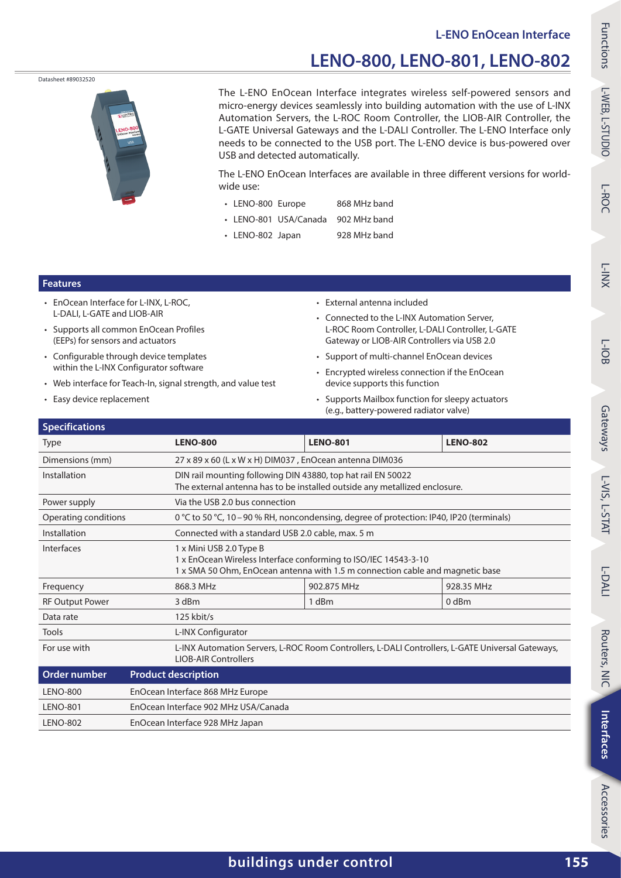### **LENO‑800, LENO‑801, LENO‑802**

Datasheet #89032520



The L‑ENO EnOcean Interface integrates wireless self-powered sensors and micro-energy devices seamlessly into building automation with the use of L-INX Automation Servers, the L‑ROC Room Controller, the LIOB‑AIR Controller, the L‑GATE Universal Gateways and the L‑DALI Controller. The L‑ENO Interface only needs to be connected to the USB port. The L‑ENO device is bus-powered over USB and detected automatically.

The L-ENO EnOcean Interfaces are available in three different versions for worldwide use:

- LENO-800 Europe 868 MHz band
- LENO‑801 USA/Canada 902 MHz band
- LENO-802 Japan 928 MHz band

### **Features**

- EnOcean Interface for L-INX, L-ROC, L‑DALI, L‑GATE and LIOB‑AIR
- Supports all common EnOcean Profiles (EEPs) for sensors and actuators
- Configurable through device templates within the L-INX Configurator software
- Web interface for Teach-In, signal strength, and value test
- Easy device replacement
- External antenna included
- Connected to the L‑INX Automation Server, L‑ROC Room Controller, L‑DALI Controller, L‑GATE Gateway or LIOB‑AIR Controllers via USB 2.0
- Support of multi-channel EnOcean devices
- Encrypted wireless connection if the EnOcean device supports this function
- Supports Mailbox function for sleepy actuators (e.g., battery-powered radiator valve)

| <b>LENO-800</b>                      | <b>LENO-801</b>                                                                                                                                  |  | <b>LENO-802</b> |  |
|--------------------------------------|--------------------------------------------------------------------------------------------------------------------------------------------------|--|-----------------|--|
|                                      | 27 x 89 x 60 (L x W x H) DIM037, EnOcean antenna DIM036                                                                                          |  |                 |  |
|                                      | DIN rail mounting following DIN 43880, top hat rail EN 50022<br>The external antenna has to be installed outside any metallized enclosure.       |  |                 |  |
|                                      | Via the USB 2.0 bus connection                                                                                                                   |  |                 |  |
|                                      | 0 °C to 50 °C, 10 – 90 % RH, noncondensing, degree of protection: IP40, IP20 (terminals)                                                         |  |                 |  |
|                                      | Connected with a standard USB 2.0 cable, max. 5 m                                                                                                |  |                 |  |
| 1 x Mini USB 2.0 Type B              | 1 x EnOcean Wireless Interface conforming to ISO/IEC 14543-3-10<br>1 x SMA 50 Ohm, EnOcean antenna with 1.5 m connection cable and magnetic base |  |                 |  |
| 868.3 MHz                            |                                                                                                                                                  |  | 928.35 MHz      |  |
| 3 dBm                                | 1 dBm                                                                                                                                            |  | $0$ dBm         |  |
| 125 kbit/s                           |                                                                                                                                                  |  |                 |  |
| L-INX Configurator                   |                                                                                                                                                  |  |                 |  |
| <b>LIOB-AIR Controllers</b>          | L-INX Automation Servers, L-ROC Room Controllers, L-DALI Controllers, L-GATE Universal Gateways,                                                 |  |                 |  |
|                                      |                                                                                                                                                  |  |                 |  |
| EnOcean Interface 868 MHz Europe     |                                                                                                                                                  |  |                 |  |
| EnOcean Interface 902 MHz USA/Canada |                                                                                                                                                  |  |                 |  |
| EnOcean Interface 928 MHz Japan      |                                                                                                                                                  |  |                 |  |
|                                      | <b>Product description</b>                                                                                                                       |  | 902.875 MHz     |  |

Accessories

Accessories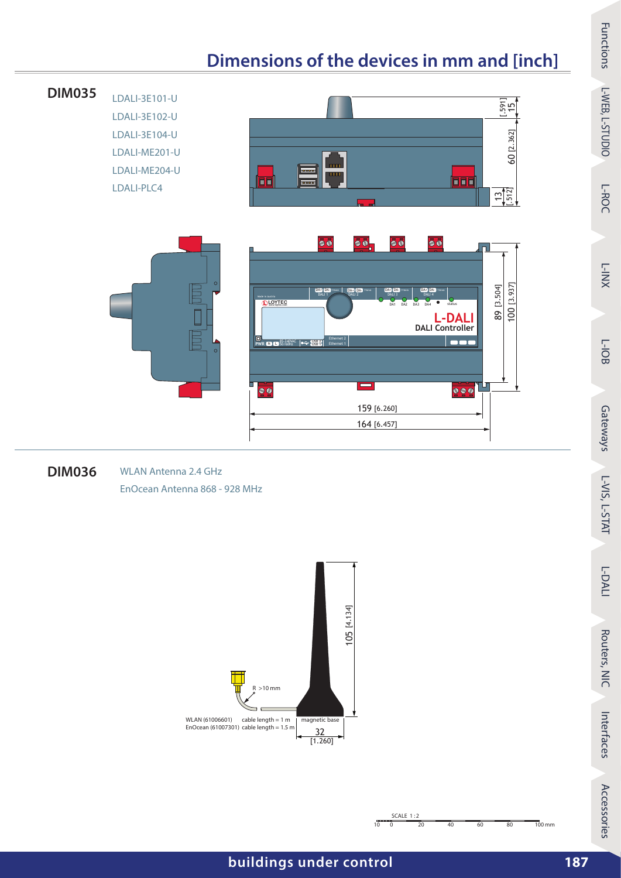## **Dimensions of the devices in mm and [inch]**



#### <span id="page-1-0"></span>**DIM036** WLAN Antenna 2.4 GHz EnOcean Antenna 868 - 928 MHz





Functions

*<u>Functions</u>* 

L‑WEB, L‑STUDIO

L-WEB, L-STUDIO

L‑ROC

L‑INX

L‑IOB

Gateways

L‑VIS,

L-STAT

L‑DALI

Routers, NIC

Routers, NIC

Interfaces

Interfaces

Accessories

Accessories